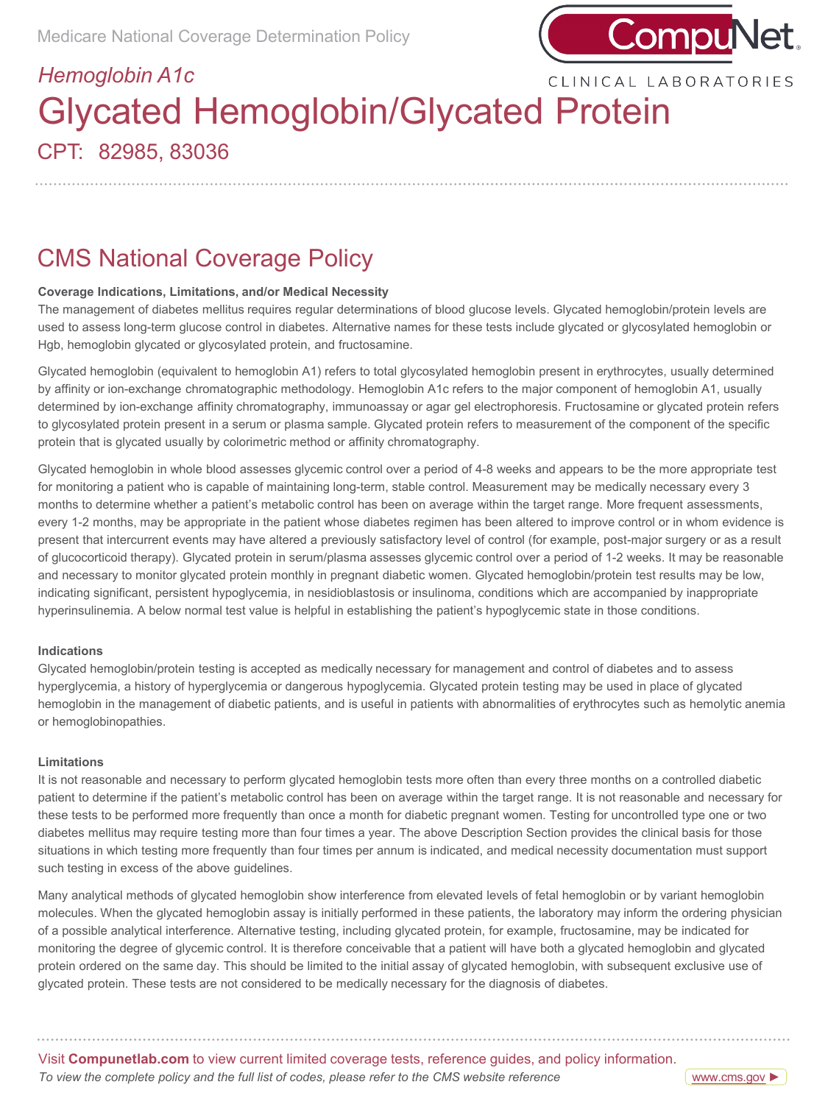

## CLINICAL LABORATORIES

# CPT: 82985, 83036 *Hemoglobin A1c* Glycated Hemoglobin/Glycated Protein

CMS National Coverage Policy

### **Coverage Indications, Limitations, and/or Medical Necessity**

The management of diabetes mellitus requires regular determinations of blood glucose levels. Glycated hemoglobin/protein levels are used to assess long-term glucose control in diabetes. Alternative names for these tests include glycated or glycosylated hemoglobin or Hgb, hemoglobin glycated or glycosylated protein, and fructosamine.

Glycated hemoglobin (equivalent to hemoglobin A1) refers to total glycosylated hemoglobin present in erythrocytes, usually determined by affinity or ion-exchange chromatographic methodology. Hemoglobin A1c refers to the major component of hemoglobin A1, usually determined by ion-exchange affinity chromatography, immunoassay or agar gel electrophoresis. Fructosamine or glycated protein refers to glycosylated protein present in a serum or plasma sample. Glycated protein refers to measurement of the component of the specific protein that is glycated usually by colorimetric method or affinity chromatography.

Glycated hemoglobin in whole blood assesses glycemic control over a period of 4-8 weeks and appears to be the more appropriate test for monitoring a patient who is capable of maintaining long-term, stable control. Measurement may be medically necessary every 3 months to determine whether a patient's metabolic control has been on average within the target range. More frequent assessments, every 1-2 months, may be appropriate in the patient whose diabetes regimen has been altered to improve control or in whom evidence is present that intercurrent events may have altered a previously satisfactory level of control (for example, post-major surgery or as a result of glucocorticoid therapy). Glycated protein in serum/plasma assesses glycemic control over a period of 1-2 weeks. It may be reasonable and necessary to monitor glycated protein monthly in pregnant diabetic women. Glycated hemoglobin/protein test results may be low, indicating significant, persistent hypoglycemia, in nesidioblastosis or insulinoma, conditions which are accompanied by inappropriate hyperinsulinemia. A below normal test value is helpful in establishing the patient's hypoglycemic state in those conditions.

### **Indications**

Glycated hemoglobin/protein testing is accepted as medically necessary for management and control of diabetes and to assess hyperglycemia, a history of hyperglycemia or dangerous hypoglycemia. Glycated protein testing may be used in place of glycated hemoglobin in the management of diabetic patients, and is useful in patients with abnormalities of erythrocytes such as hemolytic anemia or hemoglobinopathies.

### **Limitations**

It is not reasonable and necessary to perform glycated hemoglobin tests more often than every three months on a controlled diabetic patient to determine if the patient's metabolic control has been on average within the target range. It is not reasonable and necessary for these tests to be performed more frequently than once a month for diabetic pregnant women. Testing for uncontrolled type one or two diabetes mellitus may require testing more than four times a year. The above Description Section provides the clinical basis for those situations in which testing more frequently than four times per annum is indicated, and medical necessity documentation must support such testing in excess of the above guidelines.

Many analytical methods of glycated hemoglobin show interference from elevated levels of fetal hemoglobin or by variant hemoglobin molecules. When the glycated hemoglobin assay is initially performed in these patients, the laboratory may inform the ordering physician of a possible analytical interference. Alternative testing, including glycated protein, for example, fructosamine, may be indicated for monitoring the degree of glycemic control. It is therefore conceivable that a patient will have both a glycated hemoglobin and glycated protein ordered on the same day. This should be limited to the initial assay of glycated hemoglobin, with subsequent exclusive use of glycated protein. These tests are not considered to be medically necessary for the diagnosis of diabetes.

Visit **Compunetlab.com** to view current limited coverage tests, reference guides, and policy information. *To view the complete policy and the full list of codes, please refer to the CMS website reference*